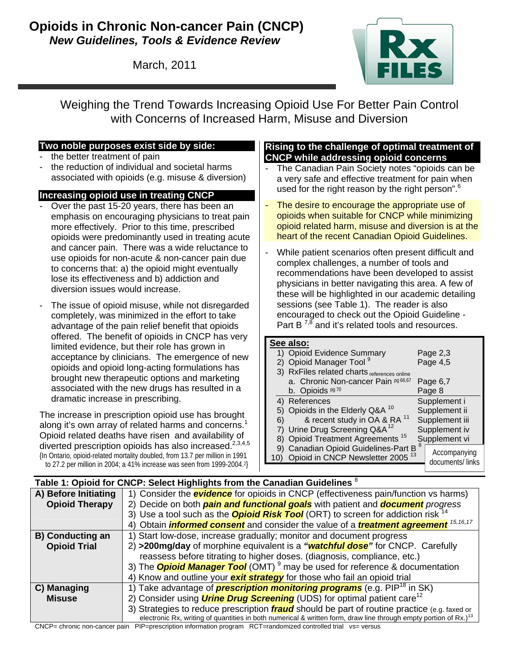### **Opioids in Chronic Non-cancer Pain (CNCP)**  *New Guidelines, Tools & Evidence Review*

March, 2011



Weighing the Trend Towards Increasing Opioid Use For Better Pain Control with Concerns of Increased Harm, Misuse and Diversion

#### **Two noble purposes exist side by side:**

- the better treatment of pain
- the reduction of individual and societal harms associated with opioids (e.g. misuse & diversion)

#### **Increasing opioid use in treating CNCP**

- Over the past 15-20 years, there has been an emphasis on encouraging physicians to treat pain more effectively. Prior to this time, prescribed opioids were predominantly used in treating acute and cancer pain. There was a wide reluctance to use opioids for non-acute & non-cancer pain due to concerns that: a) the opioid might eventually lose its effectiveness and b) addiction and diversion issues would increase.
- The issue of opioid misuse, while not disregarded completely, was minimized in the effort to take advantage of the pain relief benefit that opioids offered. The benefit of opioids in CNCP has very limited evidence, but their role has grown in acceptance by clinicians. The emergence of new opioids and opioid long-acting formulations has brought new therapeutic options and marketing associated with the new drugs has resulted in a dramatic increase in prescribing.

The increase in prescription opioid use has brought along it's own array of related harms and concerns.<sup>1</sup> Opioid related deaths have risen and availability of diverted prescription opioids has also increased.<sup>2,3,4,5</sup> {In Ontario, opioid-related mortality doubled, from 13.7 per million in 1991

to 27.2 per million in 2004; a 41% increase was seen from 1999-2004.2}

#### **Rising to the challenge of optimal treatment of CNCP while addressing opioid concerns**

- The Canadian Pain Society notes "opioids can be a very safe and effective treatment for pain when used for the right reason by the right person".<sup>6</sup>
- The desire to encourage the appropriate use of opioids when suitable for CNCP while minimizing opioid related harm, misuse and diversion is at the heart of the recent Canadian Opioid Guidelines.
- While patient scenarios often present difficult and complex challenges, a number of tools and recommendations have been developed to assist physicians in better navigating this area. A few of these will be highlighted in our academic detailing sessions (see Table 1). The reader is also encouraged to check out the Opioid Guideline - Part B  $^{7,8}$  and it's related tools and resources.

#### **See also:** 1) Opioid Evidence Summary Page 2,3 2) Opioid Manager Tool 9 Page 4,5 3) RxFiles related charts references online a. Chronic Non-cancer Pain pg 66,67 Page 6,7 b. Opioids  $pg 70$  Page 8 4) References Supplement i 5) Opioids in the Elderly Q&A  $10$  Supplement ii 6) & recent study in OA & RA  $11$  Supplement iii 7) Urine Drug Screening Q&A<sup>12</sup> Supplement iv 8) Opioid Treatment Agreements<sup>15</sup> Supplement vi 9) Canadian Opioid Guidelines-Part B<sup>8</sup> 10) Opioid in CNCP Newsletter 2005<sup>13</sup> Accompanying documents/ links

|                         | Table 1: Opioid for CNCP: Select Highlights from the Canadian Guidelines <sup>8</sup>                                        |
|-------------------------|------------------------------------------------------------------------------------------------------------------------------|
| A) Before Initiating    | 1) Consider the <b>evidence</b> for opioids in CNCP (effectiveness pain/function vs harms)                                   |
| <b>Opioid Therapy</b>   | 2) Decide on both <b>pain and functional goals</b> with patient and <b>document</b> progress                                 |
|                         | 3) Use a tool such as the <b>Opioid Risk Tool</b> (ORT) to screen for addiction risk <sup>14</sup>                           |
|                         | 4) Obtain <i>informed consent</i> and consider the value of a <i>treatment agreement</i> <sup>15,16,17</sup>                 |
| <b>B) Conducting an</b> | 1) Start low-dose, increase gradually; monitor and document progress                                                         |
| <b>Opioid Trial</b>     | 2) >200mg/day of morphine equivalent is a "watchful dose" for CNCP. Carefully                                                |
|                         | reassess before titrating to higher doses. (diagnosis, compliance, etc.)                                                     |
|                         | 3) The <b>Opioid Manager Tool</b> (OMT) <sup>9</sup> may be used for reference & documentation                               |
|                         | 4) Know and outline your <b>exit strategy</b> for those who fail an opioid trial                                             |
| C) Managing             | 1) Take advantage of <b>prescription monitoring programs</b> (e.g. PIP <sup>18</sup> in SK)                                  |
| <b>Misuse</b>           | 2) Consider using <i>Urine Drug Screening</i> (UDS) for optimal patient care <sup>12</sup>                                   |
|                         | 3) Strategies to reduce prescription <i>fraud</i> should be part of routine practice (e.g. faxed or                          |
|                         | electronic Rx, writing of quantities in both numerical & written form, draw line through empty portion of Rx.) <sup>13</sup> |

CNCP= chronic non-cancer pain PIP=prescription information program RCT=randomized controlled trial vs= versus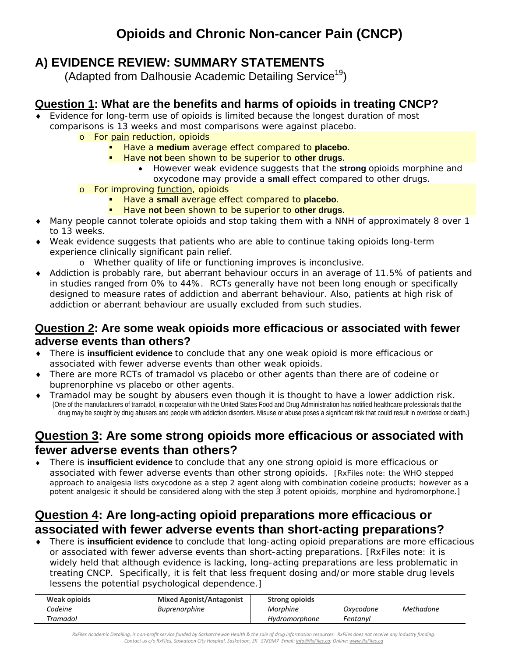# **A) EVIDENCE REVIEW: SUMMARY STATEMENTS**

(Adapted from Dalhousie Academic Detailing Service<sup>19</sup>)

## **Question 1: What are the benefits and harms of opioids in treating CNCP?**

- Evidence for long-term use of opioids is limited because the longest duration of most comparisons is 13 weeks and most comparisons were against placebo.
	- o For pain reduction, opioids
		- Have a **medium** average effect compared to **placebo.**
		- **Have not been shown to be superior to other drugs.** 
			- However weak evidence suggests that the **strong** opioids morphine and oxycodone may provide a **small** effect compared to other drugs.
	- o For improving function, opioids
		- Have a **small** average effect compared to **placebo**.
		- Have **not** been shown to be superior to **other drugs**.
- Many people cannot tolerate opioids and stop taking them with a NNH of approximately 8 over 1 to 13 weeks.
- ♦ Weak evidence suggests that patients who are able to continue taking opioids long-term experience clinically significant pain relief.
	- o Whether quality of life or functioning improves is inconclusive.
- Addiction is probably rare, but aberrant behaviour occurs in an average of 11.5% of patients and in studies ranged from 0% to 44%. RCTs generally have not been long enough or specifically designed to measure rates of addiction and aberrant behaviour. Also, patients at high risk of addiction or aberrant behaviour are usually excluded from such studies.

#### **Question 2: Are some weak opioids more efficacious or associated with fewer adverse events than others?**

- ♦ There is **insufficient evidence** to conclude that any one weak opioid is more efficacious or associated with fewer adverse events than other weak opioids.
- ♦ There are more RCTs of tramadol vs placebo or other agents than there are of codeine or buprenorphine vs placebo or other agents.
- Tramadol may be sought by abusers even though it is thought to have a lower addiction risk. {One of the manufacturers of tramadol, in cooperation with the United States Food and Drug Administration has notified healthcare professionals that the drug may be sought by drug abusers and people with addiction disorders. Misuse or abuse poses a significant risk that could result in overdose or death.}

# **Question 3: Are some strong opioids more efficacious or associated with fewer adverse events than others?**

♦ There is **insufficient evidence** to conclude that any one strong opioid is more efficacious or associated with fewer adverse events than other strong opioids. [RxFiles note: the WHO stepped approach to analgesia lists oxycodone as a step 2 agent along with combination codeine products; however as a potent analgesic it should be considered along with the step 3 potent opioids, morphine and hydromorphone.]

## **Question 4: Are long-acting opioid preparations more efficacious or associated with fewer adverse events than short-acting preparations?**

♦ There is **insufficient evidence** to conclude that long-acting opioid preparations are more efficacious or associated with fewer adverse events than short-acting preparations. [RxFiles note: it is widely held that although evidence is lacking, long-acting preparations are less problematic in treating CNCP. Specifically, it is felt that less frequent dosing and/or more stable drug levels lessens the potential psychological dependence.]

| Weak opioids | <b>Mixed Agonist/Antagonist</b> | <b>Strong opioids</b> |           |           |
|--------------|---------------------------------|-----------------------|-----------|-----------|
| Codeine      | <i>Buprenorphine</i>            | Morphine              | Oxycodone | Methadone |
| Tramadol     |                                 | Hvdromorphone         | Fentanyl  |           |

RxFiles Academic Detailing, is non-profit service funded by Saskatchewan Health & the sale of drug information resources. RxFiles does not receive any industry funding. Contact us c/o RxFiles, Saskatoon City Hospital, Saskatoon, SK S7KOM7 Email: info@RxFiles.ca; Online: www.RxFiles.ca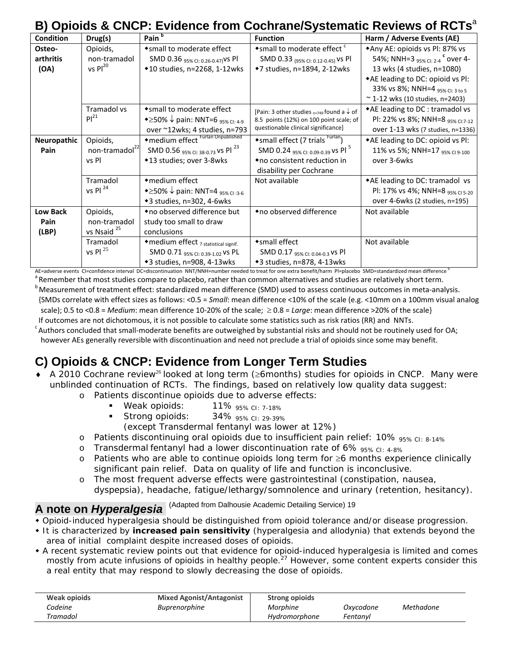# **B) Opioids & CNCP: Evidence from Cochrane/Systematic Reviews of RCTs**<sup>a</sup>

| <b>Condition</b> | Drug(s)                    | Pain <sup>b</sup>                                                 | <b>Function</b>                                           | Harm / Adverse Events (AE)                      |
|------------------|----------------------------|-------------------------------------------------------------------|-----------------------------------------------------------|-------------------------------------------------|
| Osteo-           | Opioids,                   | *small to moderate effect                                         | *small to moderate effect c                               | *Any AE: opioids vs Pl: 87% vs                  |
| arthritis        | non-tramadol               | SMD 0.36 95% CI: 0.26-0.47) VS PI                                 | SMD 0.33 (95% CI: 0.12-0.45) VS PI                        | 54%; NNH=3 $_{95\%}$ CI: 2-4 $^{\circ}$ OVer 4- |
| (OA)             | $vs$ Pl <sup>20</sup>      | ◆10 studies, n=2268, 1-12wks                                      | ◆7 studies, n=1894, 2-12wks                               | 13 wks (4 studies, n=1080)                      |
|                  |                            |                                                                   |                                                           | ◆AE leading to DC: opioid vs Pl:                |
|                  |                            |                                                                   |                                                           | 33% vs 8%; NNH=4 95% CI: 3 to 5                 |
|                  |                            |                                                                   |                                                           | ~ 1-12 wks (10 studies, $n=2403$ )              |
|                  | Tramadol vs                | *small to moderate effect                                         | [Pain: 3 other studies $_{n=749}$ found a $\downarrow$ of | *AE leading to DC : tramadol vs                 |
|                  | Pl <sup>21</sup>           | $\bullet \geq 50\% \downarrow$ pain: NNT=6 95% CI: 4-9            | 8.5 points (12%) on 100 point scale; of                   | PI: 22% vs 8%; NNH=8 95% CI:7-12                |
|                  |                            | over ~12wks; 4 studies, n=793                                     | questionable clinical significance]                       | over 1-13 wks (7 studies, n=1336)               |
| Neuropathic      | Opioids,                   | ◆ medium effect Furlan Unpublished                                | *small effect (7 trials <sup>Furlan</sup> )               | *AE leading to DC: opioid vs Pl:                |
| Pain             | non-tramadol <sup>22</sup> | SMD 0.56 95% CI: 38-0.73 VS PI <sup>23</sup>                      | SMD 0.24 95% CI: 0.09-0.39 VS PI <sup>5</sup>             | 11% vs 5%; NNH=17 95% CI 9-100                  |
|                  | vs Pl                      | ◆13 studies; over 3-8wks                                          | ◆ no consistent reduction in                              | over 3-6wks                                     |
|                  |                            |                                                                   | disability per Cochrane                                   |                                                 |
|                  | Tramadol                   | • medium effect                                                   | Not available                                             | *AE leading to DC: tramadol vs                  |
|                  | vs Pl $^{24}$              | $\triangle$ > ≥50% $\downarrow$ pain: NNT=4 <sub>95% Cl:3-6</sub> |                                                           | Pl: 17% vs 4%; NNH=8 95% cl 5-20                |
|                  |                            | +3 studies, n=302, 4-6wks                                         |                                                           | over 4-6wks (2 studies, n=195)                  |
| <b>Low Back</b>  | Opioids,                   | ◆ no observed difference but                                      | ◆no observed difference                                   | Not available                                   |
| Pain             | non-tramadol               | study too small to draw                                           |                                                           |                                                 |
| (LBP)            | vs Nsaid <sup>25</sup>     | conclusions                                                       |                                                           |                                                 |
|                  | Tramadol                   | ◆ medium effect ? statistical signif.                             | *small effect                                             | Not available                                   |
|                  | vs Pl $^{25}$              | SMD 0.71 95% CI: 0.39-1.02 VS PL                                  | SMD 0.17 95% CI: 0.04-0.3 VS PI                           |                                                 |
|                  |                            | ◆3 studies, n=908, 4-13wks                                        | ◆3 studies, n=878, 4-13wks                                |                                                 |

AE=adverse events CI=confidence interval DC=discontinuation NNT/NNH=number needed to treat for one extra benefit/harm PI=placebo SMD=standardized mean difference b

a<br>Bemember that most studies compare to placebo, rather than common alternatives and studies are relatively short term.<br>Belascurement of treatment offect: standardized mean difference (SMD) used to assess sontiqueus outcom b Measurement of treatment effect: standardized mean difference (SMD) used to assess continuous outcomes in meta-analysis. {SMDs correlate with effect sizes as follows: <0.5 = *Small*: mean difference <10% of the scale (e.g. <10mm on a 100mm visual analog scale); 0.5 to <0.8 = *Medium*: mean difference 10-20% of the scale; ≥ 0.8 = *Large*: mean difference >20% of the scale} If outcomes are not dichotomous, it is not possible to calculate some statistics such as risk ratios (RR) and NNTs.

 $\epsilon$  Authors concluded that small-moderate benefits are outweighed by substantial risks and should not be routinely used for OA; however AEs generally reversible with discontinuation and need not preclude a trial of opioids since some may benefit.

# **C) Opioids & CNCP: Evidence from Longer Term Studies**

- ♦ A 2010 Cochrane review<sup>26</sup> looked at long term (≥6months) studies for opioids in CNCP. Many were unblinded continuation of RCTs. The findings, based on relatively low quality data suggest:
	- o Patients discontinue opioids due to adverse effects:
		- **Weak opioids:**  $11\%$   $95\%$  CI: 7-18%
		- Strong opioids: 34% 95% CI: 29-39%
		- (except Transdermal fentanyl was lower at 12%)
	- o Patients discontinuing oral opioids due to insufficient pain relief: 10% 95% CI: 8-14%
	- o Transdermal fentanyl had a lower discontinuation rate of 6%  $_{95\%~\text{Cl}:~4\text{-}8\%}$
	- o Patients who are able to continue opioids long term for ≥6 months experience clinically significant pain relief. Data on quality of life and function is inconclusive.
	- o The most frequent adverse effects were gastrointestinal (constipation, nausea, dyspepsia), headache, fatigue/lethargy/somnolence and urinary (retention, hesitancy).

# **A note on** *Hyperalgesia*(Adapted from Dalhousie Academic Detailing Service) 19

- Opioid-induced hyperalgesia should be distinguished from opioid tolerance and/or disease progression.
- It is characterized by **increased pain sensitivity** (hyperalgesia and allodynia) that extends beyond the area of initial complaint despite increased doses of opioids.
- A recent systematic review points out that evidence for opioid-induced hyperalgesia is limited and comes mostly from acute infusions of opioids in healthy people.<sup>27</sup> However, some content experts consider this a real entity that may respond to slowly decreasing the dose of opioids.

| Weak opioids | <b>Mixed Agonist/Antagonist</b> | <b>Strong opioids</b> |           |           |  |
|--------------|---------------------------------|-----------------------|-----------|-----------|--|
| Codeine      | <i>Buprenorphine</i>            | Morphine              | Oxvcodone | Methadone |  |
| Tramadol     |                                 | Hydromorphone         | Fentanvl  |           |  |